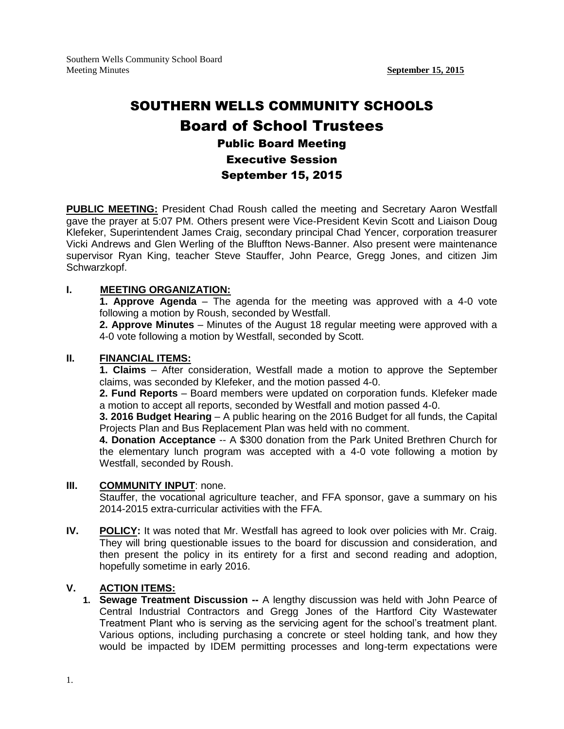# SOUTHERN WELLS COMMUNITY SCHOOLS Board of School Trustees Public Board Meeting Executive Session September 15, 2015

**PUBLIC MEETING:** President Chad Roush called the meeting and Secretary Aaron Westfall gave the prayer at 5:07 PM. Others present were Vice-President Kevin Scott and Liaison Doug Klefeker, Superintendent James Craig, secondary principal Chad Yencer, corporation treasurer Vicki Andrews and Glen Werling of the Bluffton News-Banner. Also present were maintenance supervisor Ryan King, teacher Steve Stauffer, John Pearce, Gregg Jones, and citizen Jim Schwarzkopf.

# **I. MEETING ORGANIZATION:**

**1. Approve Agenda** – The agenda for the meeting was approved with a 4-0 vote following a motion by Roush, seconded by Westfall.

**2. Approve Minutes** – Minutes of the August 18 regular meeting were approved with a 4-0 vote following a motion by Westfall, seconded by Scott.

## **II. FINANCIAL ITEMS:**

**1. Claims** – After consideration, Westfall made a motion to approve the September claims, was seconded by Klefeker, and the motion passed 4-0.

**2. Fund Reports** – Board members were updated on corporation funds. Klefeker made a motion to accept all reports, seconded by Westfall and motion passed 4-0.

**3. 2016 Budget Hearing** – A public hearing on the 2016 Budget for all funds, the Capital Projects Plan and Bus Replacement Plan was held with no comment.

**4. Donation Acceptance** -- A \$300 donation from the Park United Brethren Church for the elementary lunch program was accepted with a 4-0 vote following a motion by Westfall, seconded by Roush.

## **III. COMMUNITY INPUT**: none.

Stauffer, the vocational agriculture teacher, and FFA sponsor, gave a summary on his 2014-2015 extra-curricular activities with the FFA.

**IV. POLICY:** It was noted that Mr. Westfall has agreed to look over policies with Mr. Craig. They will bring questionable issues to the board for discussion and consideration, and then present the policy in its entirety for a first and second reading and adoption, hopefully sometime in early 2016.

# **V. ACTION ITEMS:**

**1. Sewage Treatment Discussion --** A lengthy discussion was held with John Pearce of Central Industrial Contractors and Gregg Jones of the Hartford City Wastewater Treatment Plant who is serving as the servicing agent for the school's treatment plant. Various options, including purchasing a concrete or steel holding tank, and how they would be impacted by IDEM permitting processes and long-term expectations were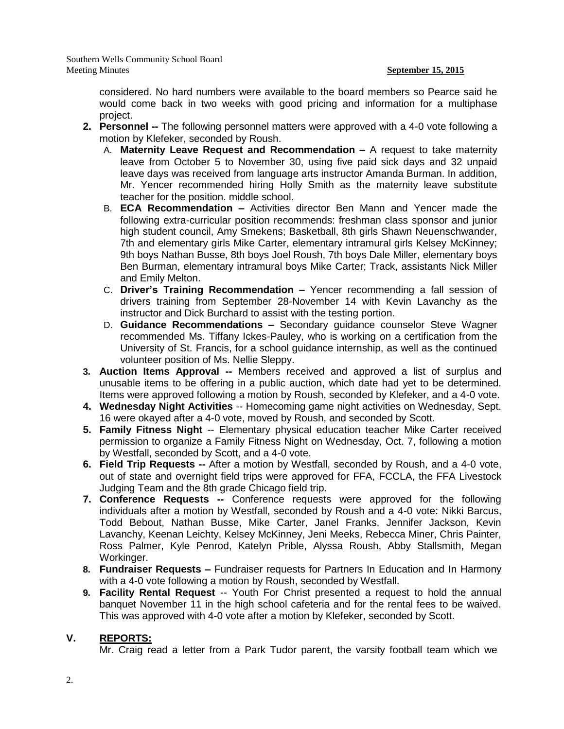Southern Wells Community School Board Meeting Minutes **September 15, 2015**

considered. No hard numbers were available to the board members so Pearce said he would come back in two weeks with good pricing and information for a multiphase project.

- **2. Personnel --** The following personnel matters were approved with a 4-0 vote following a motion by Klefeker, seconded by Roush.
	- A. **Maternity Leave Request and Recommendation –** A request to take maternity leave from October 5 to November 30, using five paid sick days and 32 unpaid leave days was received from language arts instructor Amanda Burman. In addition, Mr. Yencer recommended hiring Holly Smith as the maternity leave substitute teacher for the position. middle school.
	- B. **ECA Recommendation –** Activities director Ben Mann and Yencer made the following extra-curricular position recommends: freshman class sponsor and junior high student council, Amy Smekens; Basketball, 8th girls Shawn Neuenschwander, 7th and elementary girls Mike Carter, elementary intramural girls Kelsey McKinney; 9th boys Nathan Busse, 8th boys Joel Roush, 7th boys Dale Miller, elementary boys Ben Burman, elementary intramural boys Mike Carter; Track, assistants Nick Miller and Emily Melton.
	- C. **Driver's Training Recommendation –** Yencer recommending a fall session of drivers training from September 28-November 14 with Kevin Lavanchy as the instructor and Dick Burchard to assist with the testing portion.
	- D. **Guidance Recommendations –** Secondary guidance counselor Steve Wagner recommended Ms. Tiffany Ickes-Pauley, who is working on a certification from the University of St. Francis, for a school guidance internship, as well as the continued volunteer position of Ms. Nellie Sleppy.
- **3. Auction Items Approval --** Members received and approved a list of surplus and unusable items to be offering in a public auction, which date had yet to be determined. Items were approved following a motion by Roush, seconded by Klefeker, and a 4-0 vote.
- **4. Wednesday Night Activities** -- Homecoming game night activities on Wednesday, Sept. 16 were okayed after a 4-0 vote, moved by Roush, and seconded by Scott.
- **5. Family Fitness Night** -- Elementary physical education teacher Mike Carter received permission to organize a Family Fitness Night on Wednesday, Oct. 7, following a motion by Westfall, seconded by Scott, and a 4-0 vote.
- **6. Field Trip Requests --** After a motion by Westfall, seconded by Roush, and a 4-0 vote, out of state and overnight field trips were approved for FFA, FCCLA, the FFA Livestock Judging Team and the 8th grade Chicago field trip.
- **7. Conference Requests --** Conference requests were approved for the following individuals after a motion by Westfall, seconded by Roush and a 4-0 vote: Nikki Barcus, Todd Bebout, Nathan Busse, Mike Carter, Janel Franks, Jennifer Jackson, Kevin Lavanchy, Keenan Leichty, Kelsey McKinney, Jeni Meeks, Rebecca Miner, Chris Painter, Ross Palmer, Kyle Penrod, Katelyn Prible, Alyssa Roush, Abby Stallsmith, Megan Workinger.
- **8. Fundraiser Requests –** Fundraiser requests for Partners In Education and In Harmony with a 4-0 vote following a motion by Roush, seconded by Westfall.
- **9. Facility Rental Request** -- Youth For Christ presented a request to hold the annual banquet November 11 in the high school cafeteria and for the rental fees to be waived. This was approved with 4-0 vote after a motion by Klefeker, seconded by Scott.

# **V. REPORTS:**

Mr. Craig read a letter from a Park Tudor parent, the varsity football team which we